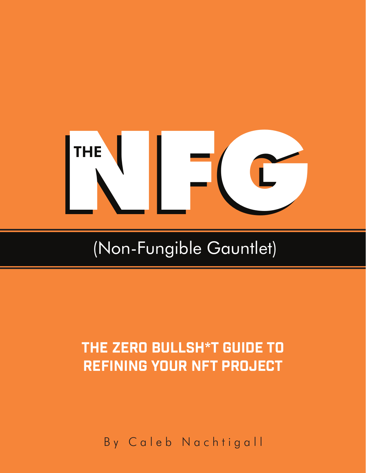# $L-C$

# (Non-Fungible Gauntlet)

# THE ZERO BULLSH\*T GUIDE TO refining your NFT project

By Caleb Nachtigall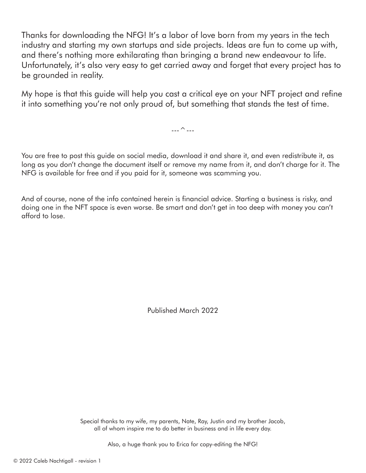Thanks for downloading the NFG! It's a labor of love born from my years in the tech industry and starting my own startups and side projects. Ideas are fun to come up with, and there's nothing more exhilarating than bringing a brand new endeavour to life. Unfortunately, it's also very easy to get carried away and forget that every project has to be grounded in reality.

My hope is that this guide will help you cast a critical eye on your NFT project and refine it into something you're not only proud of, but something that stands the test of time.

 $\overline{\phantom{a}}$  ---

You are free to post this guide on social media, download it and share it, and even redistribute it, as long as you don't change the document itself or remove my name from it, and don't charge for it. The NFG is available for free and if you paid for it, someone was scamming you.

And of course, none of the info contained herein is financial advice. Starting a business is risky, and doing one in the NFT space is even worse. Be smart and don't get in too deep with money you can't afford to lose.

Published March 2022

Special thanks to my wife, my parents, Nate, Ray, Justin and my brother Jacob, all of whom inspire me to do better in business and in life every day.

Also, a huge thank you to Erica for copy-editing the NFG!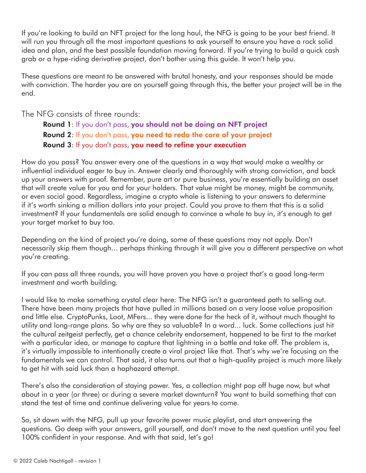If you're looking to build an NFT project for the long haul, the NFG is going to be your best friend. It will run you through all the most important questions to ask yourself to ensure you have a rock solid idea and plan, and the best possible foundation moving forward. If you're trying to build a quick cash grab or a hype-riding derivative project, don't bother using this guide. It won't help you.

These questions are meant to be answered with brutal honesty, and your responses should be made with conviction. The harder you are on yourself going through this, the better your project will be in the end.

The NFG consists of three rounds:

Round 1: If you don't pass, you should not be doing an NFT project Round 2: If you don't pass, you need to redo the core of your project Round 3: If you don't pass, you need to refine your execution

How do you pass? You answer every one of the questions in a way that would make a wealthy or influential individual eager to buy in. Answer clearly and thoroughly with strong conviction, and back up your answers with proof. Remember, pure art or pure business, you're essentially building an asset that will create value for you and for your holders. That value might be money, might be community, or even social good. Regardless, imagine a crypto whale is listening to your answers to determine if it's worth sinking a million dollars into your project. Could you prove to them that this is a solid investment? If your fundamentals are solid enough to convince a whale to buy in, it's enough to get your target market to buy too.

Depending on the kind of project you're doing, some of these questions may not apply. Don't necessarily skip them though... perhaps thinking through it will give you a different perspective on what you're creating.

If you can pass all three rounds, you will have proven you have a project that's a good long-term investment and worth building.

I would like to make something crystal clear here: The NFG isn't a guaranteed path to selling out. There have been many projects that have pulled in millions based on a very loose value proposition and little else. CryptoPunks, Loot, MFers... they were done for the heck of it, without much thought to utility and long-range plans. So why are they so valuable? In a word... luck. Some collections just hit the cultural zeitgeist perfectly, get a chance celebrity endorsement, happened to be first to the market with a particular idea, or manage to capture that lightning in a bottle and take off. The problem is, it's virtually impossible to intentionally create a viral project like that. That's why we're focusing on the fundamentals we can control. That said, it also turns out that a high-quality project is much more likely to get hit with said luck than a haphazard attempt.

There's also the consideration of staying power. Yes, a collection might pop off huge now, but what about in a year (or three) or during a severe market downturn? You want to build something that can stand the test of time and continue delivering value for years to come.

So, sit down with the NFG, pull up your favorite power music playlist, and start answering the questions. Go deep with your answers, grill yourself, and don't move to the next question until you feel 100% confident in your response. And with that said, let's go!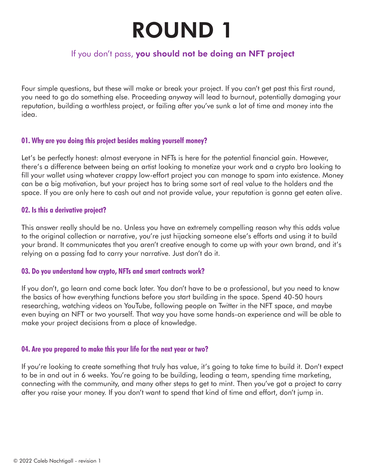# ROUND 1

# If you don't pass, you should not be doing an NFT project

Four simple questions, but these will make or break your project. If you can't get past this first round, you need to go do something else. Proceeding anyway will lead to burnout, potentially damaging your reputation, building a worthless project, or failing after you've sunk a lot of time and money into the idea.

# **01. Why are you doing this project besides making yourself money?**

Let's be perfectly honest: almost everyone in NFTs is here for the potential financial gain. However, there's a difference between being an artist looking to monetize your work and a crypto bro looking to fill your wallet using whatever crappy low-effort project you can manage to spam into existence. Money can be a big motivation, but your project has to bring some sort of real value to the holders and the space. If you are only here to cash out and not provide value, your reputation is gonna get eaten alive.

# **02. Is this a derivative project?**

This answer really should be no. Unless you have an extremely compelling reason why this adds value to the original collection or narrative, you're just hijacking someone else's efforts and using it to build your brand. It communicates that you aren't creative enough to come up with your own brand, and it's relying on a passing fad to carry your narrative. Just don't do it.

# **03. Do you understand how crypto, NFTs and smart contracts work?**

If you don't, go learn and come back later. You don't have to be a professional, but you need to know the basics of how everything functions before you start building in the space. Spend 40-50 hours researching, watching videos on YouTube, following people on Twitter in the NFT space, and maybe even buying an NFT or two yourself. That way you have some hands-on experience and will be able to make your project decisions from a place of knowledge.

# **04. Are you prepared to make this your life for the next year or two?**

If you're looking to create something that truly has value, it's going to take time to build it. Don't expect to be in and out in 6 weeks. You're going to be building, leading a team, spending time marketing, connecting with the community, and many other steps to get to mint. Then you've got a project to carry after you raise your money. If you don't want to spend that kind of time and effort, don't jump in.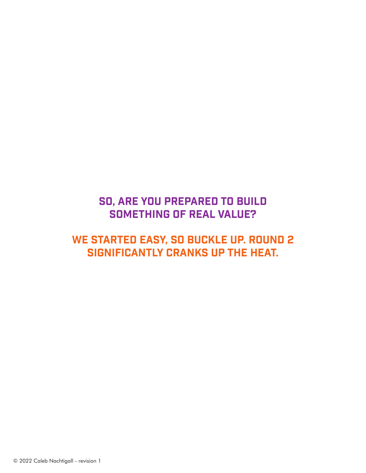# So, Are you prepared to build something of real value?

# We started easy, so buckle up. Round 2 significantly cranks up the heat.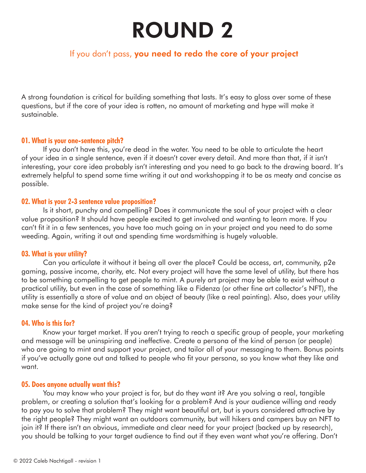# ROUND 2

# If you don't pass, you need to redo the core of your project

A strong foundation is critical for building something that lasts. It's easy to gloss over some of these questions, but if the core of your idea is rotten, no amount of marketing and hype will make it sustainable.

# **01. What is your one-sentence pitch?**

If you don't have this, you're dead in the water. You need to be able to articulate the heart of your idea in a single sentence, even if it doesn't cover every detail. And more than that, if it isn't interesting, your core idea probably isn't interesting and you need to go back to the drawing board. It's extremely helpful to spend some time writing it out and workshopping it to be as meaty and concise as possible.

# **02. What is your 2-3 sentence value proposition?**

Is it short, punchy and compelling? Does it communicate the soul of your project with a clear value proposition? It should have people excited to get involved and wanting to learn more. If you can't fit it in a few sentences, you have too much going on in your project and you need to do some weeding. Again, writing it out and spending time wordsmithing is hugely valuable.

# **03. What is your utility?**

Can you articulate it without it being all over the place? Could be access, art, community, p2e gaming, passive income, charity, etc. Not every project will have the same level of utility, but there has to be something compelling to get people to mint. A purely art project may be able to exist without a practical utility, but even in the case of something like a Fidenza (or other fine art collector's NFT), the utility is essentially a store of value and an object of beauty (like a real painting). Also, does your utility make sense for the kind of project you're doing?

# **04. Who is this for?**

Know your target market. If you aren't trying to reach a specific group of people, your marketing and message will be uninspiring and ineffective. Create a persona of the kind of person (or people) who are going to mint and support your project, and tailor all of your messaging to them. Bonus points if you've actually gone out and talked to people who fit your persona, so you know what they like and want.

# **05. Does anyone actually want this?**

You may know who your project is for, but do they want it? Are you solving a real, tangible problem, or creating a solution that's looking for a problem? And is your audience willing and ready to pay you to solve that problem? They might want beautiful art, but is yours considered attractive by the right people? They might want an outdoors community, but will hikers and campers buy an NFT to join it? If there isn't an obvious, immediate and clear need for your project (backed up by research), you should be talking to your target audience to find out if they even want what you're offering. Don't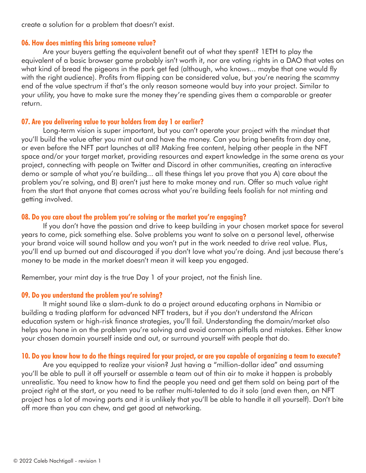create a solution for a problem that doesn't exist.

## **06. How does minting this bring someone value?**

Are your buyers getting the equivalent benefit out of what they spent? 1ETH to play the equivalent of a basic browser game probably isn't worth it, nor are voting rights in a DAO that votes on what kind of bread the pigeons in the park get fed (although, who knows... maybe that one would fly with the right audience). Profits from flipping can be considered value, but you're nearing the scammy end of the value spectrum if that's the only reason someone would buy into your project. Similar to your utility, you have to make sure the money they're spending gives them a comparable or greater return.

# **07. Are you delivering value to your holders from day 1 or earlier?**

Long-term vision is super important, but you can't operate your project with the mindset that you'll build the value after you mint out and have the money. Can you bring benefits from day one, or even before the NFT part launches at all? Making free content, helping other people in the NFT space and/or your target market, providing resources and expert knowledge in the same arena as your project, connecting with people on Twitter and Discord in other communities, creating an interactive demo or sample of what you're building... all these things let you prove that you A) care about the problem you're solving, and B) aren't just here to make money and run. Offer so much value right from the start that anyone that comes across what you're building feels foolish for not minting and getting involved.

# **08. Do you care about the problem you're solving or the market you're engaging?**

If you don't have the passion and drive to keep building in your chosen market space for several years to come, pick something else. Solve problems you want to solve on a personal level, otherwise your brand voice will sound hollow and you won't put in the work needed to drive real value. Plus, you'll end up burned out and discouraged if you don't love what you're doing. And just because there's money to be made in the market doesn't mean it will keep you engaged.

Remember, your mint day is the true Day 1 of your project, not the finish line.

# **09. Do you understand the problem you're solving?**

It might sound like a slam-dunk to do a project around educating orphans in Namibia or building a trading platform for advanced NFT traders, but if you don't understand the African education system or high-risk finance strategies, you'll fail. Understanding the domain/market also helps you hone in on the problem you're solving and avoid common pitfalls and mistakes. Either know your chosen domain yourself inside and out, or surround yourself with people that do.

# **10. Do you know how to do the things required for your project, or are you capable of organizing a team to execute?**

Are you equipped to realize your vision? Just having a "million-dollar idea" and assuming you'll be able to pull it off yourself or assemble a team out of thin air to make it happen is probably unrealistic. You need to know how to find the people you need and get them sold on being part of the project right at the start, or you need to be rather multi-talented to do it solo (and even then, an NFT project has a lot of moving parts and it is unlikely that you'll be able to handle it all yourself). Don't bite off more than you can chew, and get good at networking.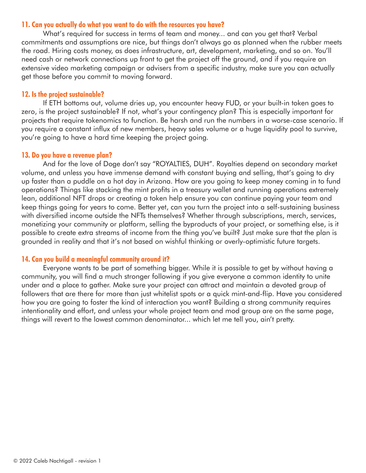# **11. Can you actually do what you want to do with the resources you have?**

What's required for success in terms of team and money... and can you get that? Verbal commitments and assumptions are nice, but things don't always go as planned when the rubber meets the road. Hiring costs money, as does infrastructure, art, development, marketing, and so on. You'll need cash or network connections up front to get the project off the ground, and if you require an extensive video marketing campaign or advisers from a specific industry, make sure you can actually get those before you commit to moving forward.

# **12. Is the project sustainable?**

If ETH bottoms out, volume dries up, you encounter heavy FUD, or your built-in token goes to zero, is the project sustainable? If not, what's your contingency plan? This is especially important for projects that require tokenomics to function. Be harsh and run the numbers in a worse-case scenario. If you require a constant influx of new members, heavy sales volume or a huge liquidity pool to survive, you're going to have a hard time keeping the project going.

## **13. Do you have a revenue plan?**

And for the love of Doge don't say "ROYALTIES, DUH". Royalties depend on secondary market volume, and unless you have immense demand with constant buying and selling, that's going to dry up faster than a puddle on a hot day in Arizona. How are you going to keep money coming in to fund operations? Things like stacking the mint profits in a treasury wallet and running operations extremely lean, additional NFT drops or creating a token help ensure you can continue paying your team and keep things going for years to come. Better yet, can you turn the project into a self-sustaining business with diversified income outside the NFTs themselves? Whether through subscriptions, merch, services, monetizing your community or platform, selling the byproducts of your project, or something else, is it possible to create extra streams of income from the thing you've built? Just make sure that the plan is grounded in reality and that it's not based on wishful thinking or overly-optimistic future targets.

# **14. Can you build a meaningful community around it?**

Everyone wants to be part of something bigger. While it is possible to get by without having a community, you will find a much stronger following if you give everyone a common identity to unite under and a place to gather. Make sure your project can attract and maintain a devoted group of followers that are there for more than just whitelist spots or a quick mint-and-flip. Have you considered how you are going to foster the kind of interaction you want? Building a strong community requires intentionality and effort, and unless your whole project team and mod group are on the same page, things will revert to the lowest common denominator... which let me tell you, ain't pretty.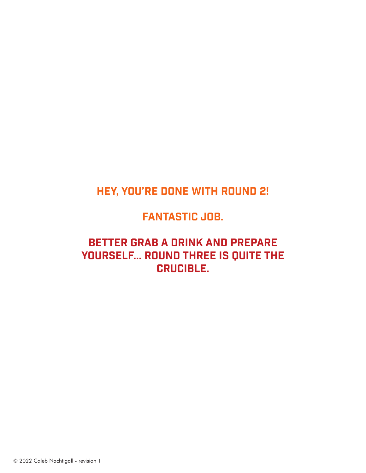# Hey, you're done with round 2!

# **FANTASTIC JOB.**

# Better grab a drink and prepare yourself... Round three is quite the crucible.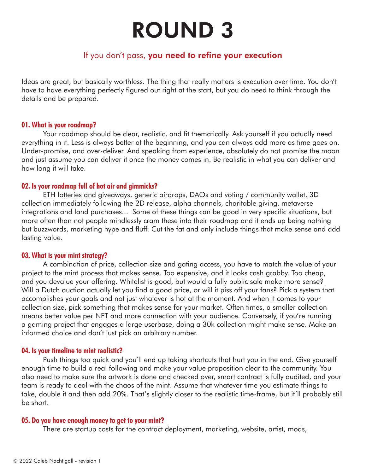# ROUND 3

# If you don't pass, you need to refine your execution

Ideas are great, but basically worthless. The thing that really matters is execution over time. You don't have to have everything perfectly figured out right at the start, but you do need to think through the details and be prepared.

# **01. What is your roadmap?**

Your roadmap should be clear, realistic, and fit thematically. Ask yourself if you actually need everything in it. Less is always better at the beginning, and you can always add more as time goes on. Under-promise, and over-deliver. And speaking from experience, absolutely do not promise the moon and just assume you can deliver it once the money comes in. Be realistic in what you can deliver and how long it will take.

# **02. Is your roadmap full of hot air and gimmicks?**

ETH lotteries and giveaways, generic airdrops, DAOs and voting / community wallet, 3D collection immediately following the 2D release, alpha channels, charitable giving, metaverse integrations and land purchases... Some of these things can be good in very specific situations, but more often than not people mindlessly cram these into their roadmap and it ends up being nothing but buzzwords, marketing hype and fluff. Cut the fat and only include things that make sense and add lasting value.

# **03. What is your mint strategy?**

A combination of price, collection size and gating access, you have to match the value of your project to the mint process that makes sense. Too expensive, and it looks cash grabby. Too cheap, and you devalue your offering. Whitelist is good, but would a fully public sale make more sense? Will a Dutch auction actually let you find a good price, or will it piss off your fans? Pick a system that accomplishes your goals and not just whatever is hot at the moment. And when it comes to your collection size, pick something that makes sense for your market. Often times, a smaller collection means better value per NFT and more connection with your audience. Conversely, if you're running a gaming project that engages a large userbase, doing a 30k collection might make sense. Make an informed choice and don't just pick an arbitrary number.

#### **04. Is your timeline to mint realistic?**

Push things too quick and you'll end up taking shortcuts that hurt you in the end. Give yourself enough time to build a real following and make your value proposition clear to the community. You also need to make sure the artwork is done and checked over, smart contract is fully audited, and your team is ready to deal with the chaos of the mint. Assume that whatever time you estimate things to take, double it and then add 20%. That's slightly closer to the realistic time-frame, but it'll probably still be short.

#### **05. Do you have enough money to get to your mint?**

There are startup costs for the contract deployment, marketing, website, artist, mods,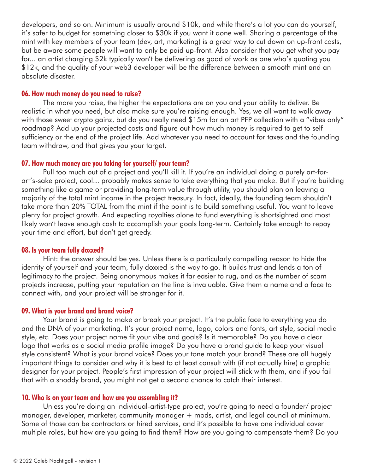developers, and so on. Minimum is usually around \$10k, and while there's a lot you can do yourself, it's safer to budget for something closer to \$30k if you want it done well. Sharing a percentage of the mint with key members of your team (dev, art, marketing) is a great way to cut down on up-front costs, but be aware some people will want to only be paid up-front. Also consider that you get what you pay for... an artist charging \$2k typically won't be delivering as good of work as one who's quoting you \$12k, and the quality of your web3 developer will be the difference between a smooth mint and an absolute disaster.

## **06. How much money do you need to raise?**

The more you raise, the higher the expectations are on you and your ability to deliver. Be realistic in what you need, but also make sure you're raising enough. Yes, we all want to walk away with those sweet crypto gainz, but do you really need \$15m for an art PFP collection with a "vibes only" roadmap? Add up your projected costs and figure out how much money is required to get to selfsufficiency or the end of the project life. Add whatever you need to account for taxes and the founding team withdraw, and that gives you your target.

#### **07. How much money are you taking for yourself/ your team?**

Pull too much out of a project and you'll kill it. If you're an individual doing a purely art-forart's-sake project, cool... probably makes sense to take everything that you make. But if you're building something like a game or providing long-term value through utility, you should plan on leaving a majority of the total mint income in the project treasury. In fact, ideally, the founding team shouldn't take more than 20% TOTAL from the mint if the point is to build something useful. You want to leave plenty for project growth. And expecting royalties alone to fund everything is shortsighted and most likely won't leave enough cash to accomplish your goals long-term. Certainly take enough to repay your time and effort, but don't get greedy.

## **08. Is your team fully doxxed?**

Hint: the answer should be yes. Unless there is a particularly compelling reason to hide the identity of yourself and your team, fully doxxed is the way to go. It builds trust and lends a ton of legitimacy to the project. Being anonymous makes it far easier to rug, and as the number of scam projects increase, putting your reputation on the line is invaluable. Give them a name and a face to connect with, and your project will be stronger for it.

#### **09. What is your brand and brand voice?**

Your brand is going to make or break your project. It's the public face to everything you do and the DNA of your marketing. It's your project name, logo, colors and fonts, art style, social media style, etc. Does your project name fit your vibe and goals? Is it memorable? Do you have a clear logo that works as a social media profile image? Do you have a brand guide to keep your visual style consistent? What is your brand voice? Does your tone match your brand? These are all hugely important things to consider and why it is best to at least consult with (if not actually hire) a graphic designer for your project. People's first impression of your project will stick with them, and if you fail that with a shoddy brand, you might not get a second chance to catch their interest.

#### **10. Who is on your team and how are you assembling it?**

Unless you're doing an individual-artist-type project, you're going to need a founder/ project manager, developer, marketer, community manager + mods, artist, and legal council at minimum. Some of those can be contractors or hired services, and it's possible to have one individual cover multiple roles, but how are you going to find them? How are you going to compensate them? Do you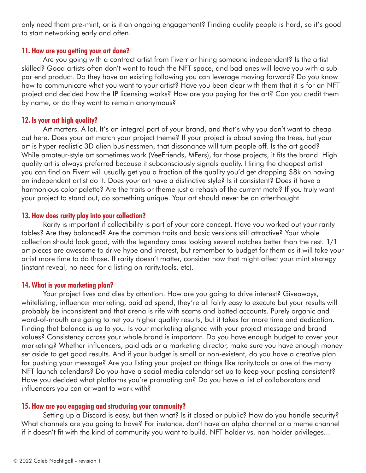only need them pre-mint, or is it an ongoing engagement? Finding quality people is hard, so it's good to start networking early and often.

# **11. How are you getting your art done?**

Are you going with a contract artist from Fiverr or hiring someone independent? Is the artist skilled? Good artists often don't want to touch the NFT space, and bad ones will leave you with a subpar end product. Do they have an existing following you can leverage moving forward? Do you know how to communicate what you want to your artist? Have you been clear with them that it is for an NFT project and decided how the IP licensing works? How are you paying for the art? Can you credit them by name, or do they want to remain anonymous?

# **12. Is your art high quality?**

Art matters. A lot. It's an integral part of your brand, and that's why you don't want to cheap out here. Does your art match your project theme? If your project is about saving the trees, but your art is hyper-realistic 3D alien businessmen, that dissonance will turn people off. Is the art good? While amateur-style art sometimes work (VeeFriends, MFers), for those projects, it fits the brand. High quality art is always preferred because it subconsciously signals quality. Hiring the cheapest artist you can find on Fiverr will usually get you a fraction of the quality you'd get dropping \$8k on having an independent artist do it. Does your art have a distinctive style? Is it consistent? Does it have a harmonious color palette? Are the traits or theme just a rehash of the current meta? If you truly want your project to stand out, do something unique. Your art should never be an afterthought.

# **13. How does rarity play into your collection?**

Rarity is important if collectibility is part of your core concept. Have you worked out your rarity tables? Are they balanced? Are the common traits and basic versions still attractive? Your whole collection should look good, with the legendary ones looking several notches better than the rest. 1/1 art pieces are awesome to drive hype and interest, but remember to budget for them as it will take your artist more time to do those. If rarity doesn't matter, consider how that might affect your mint strategy (instant reveal, no need for a listing on rarity.tools, etc).

# **14. What is your marketing plan?**

Your project lives and dies by attention. How are you going to drive interest? Giveaways, whitelisting, influencer marketing, paid ad spend, they're all fairly easy to execute but your results will probably be inconsistent and that arena is rife with scams and botted accounts. Purely organic and word-of-mouth are going to net you higher quality results, but it takes far more time and dedication. Finding that balance is up to you. Is your marketing aligned with your project message and brand values? Consistency across your whole brand is important. Do you have enough budget to cover your marketing? Whether influencers, paid ads or a marketing director, make sure you have enough money set aside to get good results. And if your budget is small or non-existent, do you have a creative plan for pushing your message? Are you listing your project on things like rarity.tools or one of the many NFT launch calendars? Do you have a social media calendar set up to keep your posting consistent? Have you decided what platforms you're promoting on? Do you have a list of collaborators and influencers you can or want to work with?

# **15. How are you engaging and structuring your community?**

Setting up a Discord is easy, but then what? Is it closed or public? How do you handle security? What channels are you going to have? For instance, don't have an alpha channel or a meme channel if it doesn't fit with the kind of community you want to build. NFT holder vs. non-holder privileges...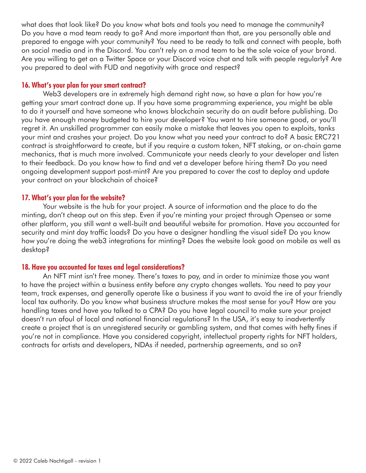what does that look like? Do you know what bots and tools you need to manage the community? Do you have a mod team ready to go? And more important than that, are you personally able and prepared to engage with your community? You need to be ready to talk and connect with people, both on social media and in the Discord. You can't rely on a mod team to be the sole voice of your brand. Are you willing to get on a Twitter Space or your Discord voice chat and talk with people regularly? Are you prepared to deal with FUD and negativity with grace and respect?

# **16. What's your plan for your smart contract?**

Web3 developers are in extremely high demand right now, so have a plan for how you're getting your smart contract done up. If you have some programming experience, you might be able to do it yourself and have someone who knows blockchain security do an audit before publishing. Do you have enough money budgeted to hire your developer? You want to hire someone good, or you'll regret it. An unskilled programmer can easily make a mistake that leaves you open to exploits, tanks your mint and crashes your project. Do you know what you need your contract to do? A basic ERC721 contract is straightforward to create, but if you require a custom token, NFT staking, or on-chain game mechanics, that is much more involved. Communicate your needs clearly to your developer and listen to their feedback. Do you know how to find and vet a developer before hiring them? Do you need ongoing development support post-mint? Are you prepared to cover the cost to deploy and update your contract on your blockchain of choice?

# **17. What's your plan for the website?**

Your website is the hub for your project. A source of information and the place to do the minting, don't cheap out on this step. Even if you're minting your project through Opensea or some other platform, you still want a well-built and beautiful website for promotion. Have you accounted for security and mint day traffic loads? Do you have a designer handling the visual side? Do you know how you're doing the web3 integrations for minting? Does the website look good on mobile as well as desktop?

# **18. Have you accounted for taxes and legal considerations?**

An NFT mint isn't free money. There's taxes to pay, and in order to minimize those you want to have the project within a business entity before any crypto changes wallets. You need to pay your team, track expenses, and generally operate like a business if you want to avoid the ire of your friendly local tax authority. Do you know what business structure makes the most sense for you? How are you handling taxes and have you talked to a CPA? Do you have legal council to make sure your project doesn't run afoul of local and national financial regulations? In the USA, it's easy to inadvertently create a project that is an unregistered security or gambling system, and that comes with hefty fines if you're not in compliance. Have you considered copyright, intellectual property rights for NFT holders, contracts for artists and developers, NDAs if needed, partnership agreements, and so on?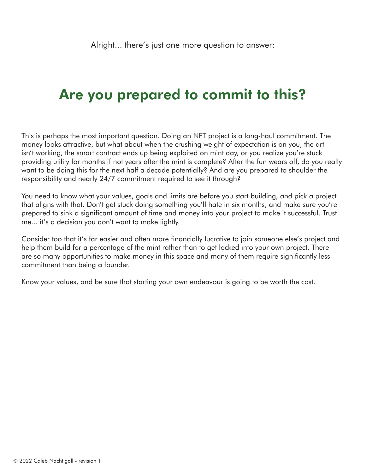# Are you prepared to commit to this?

This is perhaps the most important question. Doing an NFT project is a long-haul commitment. The money looks attractive, but what about when the crushing weight of expectation is on you, the art isn't working, the smart contract ends up being exploited on mint day, or you realize you're stuck providing utility for months if not years after the mint is complete? After the fun wears off, do you really want to be doing this for the next half a decade potentially? And are you prepared to shoulder the responsibility and nearly 24/7 commitment required to see it through?

You need to know what your values, goals and limits are before you start building, and pick a project that aligns with that. Don't get stuck doing something you'll hate in six months, and make sure you're prepared to sink a significant amount of time and money into your project to make it successful. Trust me... it's a decision you don't want to make lightly.

Consider too that it's far easier and often more financially lucrative to join someone else's project and help them build for a percentage of the mint rather than to get locked into your own project. There are so many opportunities to make money in this space and many of them require significantly less commitment than being a founder.

Know your values, and be sure that starting your own endeavour is going to be worth the cost.